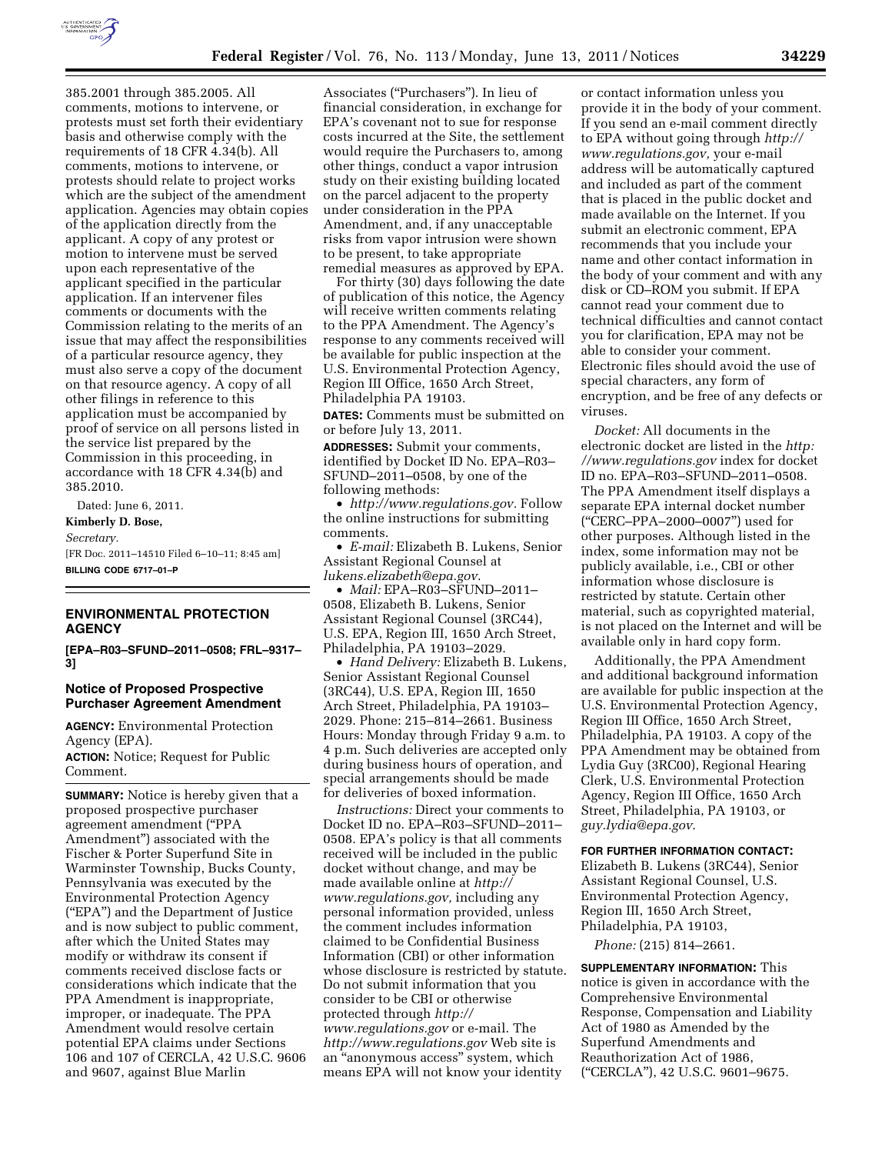

385.2001 through 385.2005. All comments, motions to intervene, or protests must set forth their evidentiary basis and otherwise comply with the requirements of 18 CFR 4.34(b). All comments, motions to intervene, or protests should relate to project works which are the subject of the amendment application. Agencies may obtain copies of the application directly from the applicant. A copy of any protest or motion to intervene must be served upon each representative of the applicant specified in the particular application. If an intervener files comments or documents with the Commission relating to the merits of an issue that may affect the responsibilities of a particular resource agency, they must also serve a copy of the document on that resource agency. A copy of all other filings in reference to this application must be accompanied by proof of service on all persons listed in the service list prepared by the Commission in this proceeding, in accordance with 18 CFR 4.34(b) and 385.2010.

Dated: June 6, 2011. **Kimberly D. Bose,**  *Secretary.*  [FR Doc. 2011–14510 Filed 6–10–11; 8:45 am] **BILLING CODE 6717–01–P** 

## **ENVIRONMENTAL PROTECTION AGENCY**

**[EPA–R03–SFUND–2011–0508; FRL–9317– 3]** 

### **Notice of Proposed Prospective Purchaser Agreement Amendment**

**AGENCY:** Environmental Protection Agency (EPA). **ACTION:** Notice; Request for Public Comment.

**SUMMARY:** Notice is hereby given that a proposed prospective purchaser agreement amendment (''PPA Amendment'') associated with the Fischer & Porter Superfund Site in Warminster Township, Bucks County, Pennsylvania was executed by the Environmental Protection Agency (''EPA'') and the Department of Justice and is now subject to public comment, after which the United States may modify or withdraw its consent if comments received disclose facts or considerations which indicate that the PPA Amendment is inappropriate, improper, or inadequate. The PPA Amendment would resolve certain potential EPA claims under Sections 106 and 107 of CERCLA, 42 U.S.C. 9606 and 9607, against Blue Marlin

Associates (''Purchasers''). In lieu of financial consideration, in exchange for EPA's covenant not to sue for response costs incurred at the Site, the settlement would require the Purchasers to, among other things, conduct a vapor intrusion study on their existing building located on the parcel adjacent to the property under consideration in the PPA Amendment, and, if any unacceptable risks from vapor intrusion were shown to be present, to take appropriate remedial measures as approved by EPA.

For thirty (30) days following the date of publication of this notice, the Agency will receive written comments relating to the PPA Amendment. The Agency's response to any comments received will be available for public inspection at the U.S. Environmental Protection Agency, Region III Office, 1650 Arch Street, Philadelphia PA 19103.

**DATES:** Comments must be submitted on or before July 13, 2011.

**ADDRESSES:** Submit your comments, identified by Docket ID No. EPA–R03– SFUND–2011–0508, by one of the following methods:

• *[http://www.regulations.gov.](http://www.regulations.gov)* Follow the online instructions for submitting comments.

• *E-mail:* Elizabeth B. Lukens, Senior Assistant Regional Counsel at *[lukens.elizabeth@epa.gov](mailto:lukens.elizabeth@epa.gov)*.

• *Mail:* EPA–R03–SFUND–2011– 0508, Elizabeth B. Lukens, Senior Assistant Regional Counsel (3RC44), U.S. EPA, Region III, 1650 Arch Street, Philadelphia, PA 19103–2029.

• *Hand Delivery:* Elizabeth B. Lukens, Senior Assistant Regional Counsel (3RC44), U.S. EPA, Region III, 1650 Arch Street, Philadelphia, PA 19103– 2029. Phone: 215–814–2661. Business Hours: Monday through Friday 9 a.m. to 4 p.m. Such deliveries are accepted only during business hours of operation, and special arrangements should be made for deliveries of boxed information.

*Instructions:* Direct your comments to Docket ID no. EPA–R03–SFUND–2011– 0508. EPA's policy is that all comments received will be included in the public docket without change, and may be made available online at *[http://](http://www.regulations.gov)  [www.regulations.gov,](http://www.regulations.gov)* including any personal information provided, unless the comment includes information claimed to be Confidential Business Information (CBI) or other information whose disclosure is restricted by statute. Do not submit information that you consider to be CBI or otherwise protected through *[http://](http://www.regulations.gov)  [www.regulations.gov](http://www.regulations.gov)* or e-mail. The *<http://www.regulations.gov>* Web site is an ''anonymous access'' system, which means EPA will not know your identity

or contact information unless you provide it in the body of your comment. If you send an e-mail comment directly to EPA without going through *[http://](http://www.regulations.gov) [www.regulations.gov,](http://www.regulations.gov)* your e-mail address will be automatically captured and included as part of the comment that is placed in the public docket and made available on the Internet. If you submit an electronic comment, EPA recommends that you include your name and other contact information in the body of your comment and with any disk or CD–ROM you submit. If EPA cannot read your comment due to technical difficulties and cannot contact you for clarification, EPA may not be able to consider your comment. Electronic files should avoid the use of special characters, any form of encryption, and be free of any defects or viruses.

*Docket:* All documents in the electronic docket are listed in the *http: /[/www.regulations.gov](http://www.regulations.gov)* index for docket ID no. EPA–R03–SFUND–2011–0508. The PPA Amendment itself displays a separate EPA internal docket number (''CERC–PPA–2000–0007'') used for other purposes. Although listed in the index, some information may not be publicly available, i.e., CBI or other information whose disclosure is restricted by statute. Certain other material, such as copyrighted material, is not placed on the Internet and will be available only in hard copy form.

Additionally, the PPA Amendment and additional background information are available for public inspection at the U.S. Environmental Protection Agency, Region III Office, 1650 Arch Street, Philadelphia, PA 19103. A copy of the PPA Amendment may be obtained from Lydia Guy (3RC00), Regional Hearing Clerk, U.S. Environmental Protection Agency, Region III Office, 1650 Arch Street, Philadelphia, PA 19103, or *[guy.lydia@epa.gov](mailto:guy.lydia@epa.gov)*.

### **FOR FURTHER INFORMATION CONTACT:**

Elizabeth B. Lukens (3RC44), Senior Assistant Regional Counsel, U.S. Environmental Protection Agency, Region III, 1650 Arch Street, Philadelphia, PA 19103,

*Phone:* (215) 814–2661.

**SUPPLEMENTARY INFORMATION:** This notice is given in accordance with the Comprehensive Environmental Response, Compensation and Liability Act of 1980 as Amended by the Superfund Amendments and Reauthorization Act of 1986, (''CERCLA''), 42 U.S.C. 9601–9675.